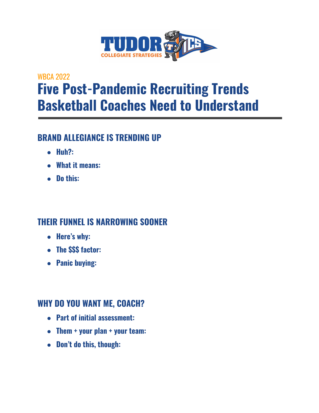

# WBCA 2022 **Five Post-Pandemic Recruiting Trends Basketball Coaches Need to Understand**

### **BRAND ALLEGIANCE IS TRENDING UP**

- **● Huh?:**
- **● What it means:**
- **● Do this:**

## **THEIR FUNNEL IS NARROWING SOONER**

- **● Here's why:**
- **● The \$\$\$ factor:**
- **● Panic buying:**

#### **WHY DO YOU WANT ME, COACH?**

- **● Part of initial assessment:**
- **● Them + your plan + your team:**
- **● Don't do this, though:**